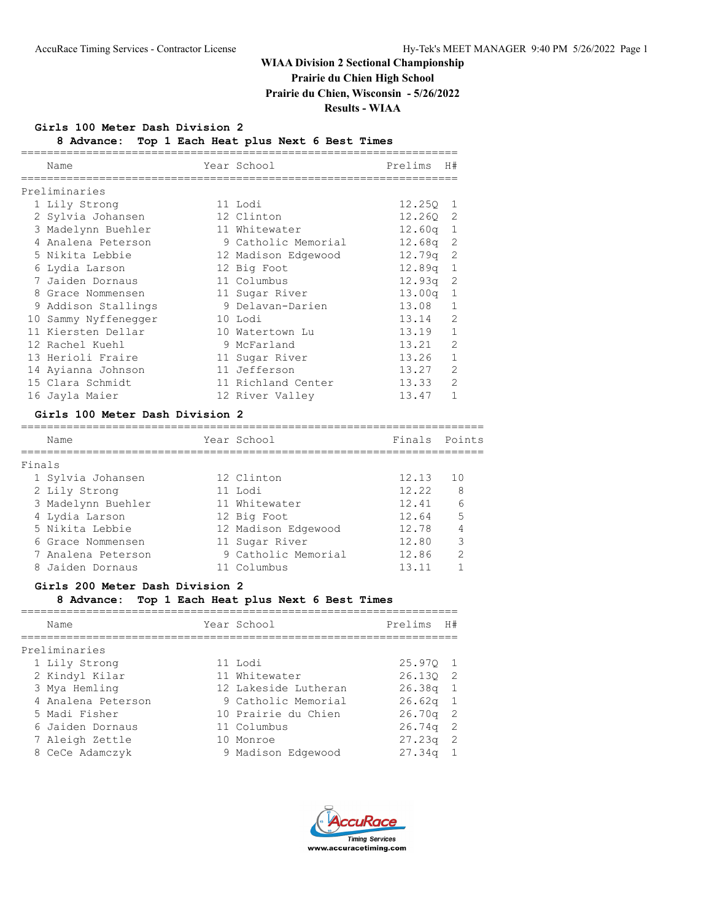**Prairie du Chien High School**

**Prairie du Chien, Wisconsin - 5/26/2022**

**Results - WIAA**

## **Girls 100 Meter Dash Division 2**

**8 Advance: Top 1 Each Heat plus Next 6 Best Times**

| Name |                                                                                                                                                                                                                                                                                                                                                        | Prelims                                                                                                                                                                                                                                                                                         | H#                                                                                                                                                           |
|------|--------------------------------------------------------------------------------------------------------------------------------------------------------------------------------------------------------------------------------------------------------------------------------------------------------------------------------------------------------|-------------------------------------------------------------------------------------------------------------------------------------------------------------------------------------------------------------------------------------------------------------------------------------------------|--------------------------------------------------------------------------------------------------------------------------------------------------------------|
|      |                                                                                                                                                                                                                                                                                                                                                        |                                                                                                                                                                                                                                                                                                 |                                                                                                                                                              |
|      |                                                                                                                                                                                                                                                                                                                                                        |                                                                                                                                                                                                                                                                                                 | 1                                                                                                                                                            |
|      |                                                                                                                                                                                                                                                                                                                                                        |                                                                                                                                                                                                                                                                                                 |                                                                                                                                                              |
|      |                                                                                                                                                                                                                                                                                                                                                        |                                                                                                                                                                                                                                                                                                 | 1                                                                                                                                                            |
|      |                                                                                                                                                                                                                                                                                                                                                        |                                                                                                                                                                                                                                                                                                 | -2                                                                                                                                                           |
|      |                                                                                                                                                                                                                                                                                                                                                        |                                                                                                                                                                                                                                                                                                 | -2                                                                                                                                                           |
|      |                                                                                                                                                                                                                                                                                                                                                        |                                                                                                                                                                                                                                                                                                 | $\mathbf{1}$                                                                                                                                                 |
|      |                                                                                                                                                                                                                                                                                                                                                        |                                                                                                                                                                                                                                                                                                 | 2                                                                                                                                                            |
|      |                                                                                                                                                                                                                                                                                                                                                        |                                                                                                                                                                                                                                                                                                 | 1                                                                                                                                                            |
|      |                                                                                                                                                                                                                                                                                                                                                        |                                                                                                                                                                                                                                                                                                 | $\mathbf{1}$                                                                                                                                                 |
|      |                                                                                                                                                                                                                                                                                                                                                        |                                                                                                                                                                                                                                                                                                 | $\overline{2}$                                                                                                                                               |
|      |                                                                                                                                                                                                                                                                                                                                                        |                                                                                                                                                                                                                                                                                                 | $\mathbf{1}$                                                                                                                                                 |
|      |                                                                                                                                                                                                                                                                                                                                                        |                                                                                                                                                                                                                                                                                                 | $\mathcal{P}$                                                                                                                                                |
|      |                                                                                                                                                                                                                                                                                                                                                        |                                                                                                                                                                                                                                                                                                 | $\mathbf{1}$                                                                                                                                                 |
|      |                                                                                                                                                                                                                                                                                                                                                        | 13.27                                                                                                                                                                                                                                                                                           | $\overline{2}$                                                                                                                                               |
|      |                                                                                                                                                                                                                                                                                                                                                        |                                                                                                                                                                                                                                                                                                 | $\mathcal{P}$                                                                                                                                                |
|      |                                                                                                                                                                                                                                                                                                                                                        | 13.47                                                                                                                                                                                                                                                                                           | 1                                                                                                                                                            |
|      | Preliminaries<br>1 Lily Strong<br>2 Sylvia Johansen<br>3 Madelynn Buehler<br>4 Analena Peterson<br>5 Nikita Lebbie<br>6 Lydia Larson<br>7 Jaiden Dornaus<br>8 Grace Nommensen<br>9 Addison Stallings<br>10 Sammy Nyffenegger<br>11 Kiersten Dellar<br>12 Rachel Kuehl<br>13 Herioli Fraire<br>14 Ayianna Johnson<br>15 Clara Schmidt<br>16 Jayla Maier | Year School<br>11 Lodi<br>12 Clinton<br>11 Whitewater<br>9 Catholic Memorial<br>12 Madison Edgewood<br>12 Big Foot<br>11 Columbus<br>11 Sugar River<br>9 Delavan-Darien<br>10 Lodi<br>10 Watertown Lu<br>9 McFarland<br>11 Sugar River<br>11 Jefferson<br>11 Richland Center<br>12 River Valley | 12.250<br>12.260 2<br>12.60 <sub>q</sub><br>12.68a<br>12.79q<br>12.89q<br>12.93q<br>13.00 <sub>q</sub><br>13.08<br>13.14<br>13.19<br>13.21<br>13.26<br>13.33 |

## **Girls 100 Meter Dash Division 2**

|        | Name               | Year School         | Finals | Points        |
|--------|--------------------|---------------------|--------|---------------|
| Finals |                    |                     |        |               |
|        | 1 Sylvia Johansen  | 12 Clinton          | 12.13  | 1 O           |
|        | 2 Lily Strong      | 11 Lodi             | 12.22  | - 8           |
|        | 3 Madelynn Buehler | 11 Whitewater       | 12.41  | 6             |
|        | 4 Lydia Larson     | 12 Big Foot         | 12.64  | 5             |
|        | 5 Nikita Lebbie    | 12 Madison Edgewood | 12.78  | 4             |
|        | 6 Grace Nommensen  | 11 Sugar River      | 12.80  | 3             |
|        | 7 Analena Peterson | 9 Catholic Memorial | 12.86  | $\mathcal{P}$ |
|        | 8 Jaiden Dornaus   | 11 Columbus         | 13.11  |               |

## **Girls 200 Meter Dash Division 2**

## **8 Advance: Top 1 Each Heat plus Next 6 Best Times**

| Name               | Year School          | Prelims            | H#             |
|--------------------|----------------------|--------------------|----------------|
|                    |                      |                    |                |
| Preliminaries      |                      |                    |                |
| 1 Lily Strong      | 11 Lodi              | 25.970 1           |                |
| 2 Kindyl Kilar     | 11 Whitewater        | 26.130 2           |                |
| 3 Mya Hemling      | 12 Lakeside Lutheran | $26.38q$ 1         |                |
| 4 Analena Peterson | 9 Catholic Memorial  | $26.62q$ 1         |                |
| 5 Madi Fisher      | 10 Prairie du Chien  | $26.70q$ 2         |                |
| 6 Jaiden Dornaus   | 11 Columbus          | 26.74q             | $\overline{2}$ |
| 7 Aleigh Zettle    | 10 Monroe            | 27.23 <sub>q</sub> | 2              |
| 8 CeCe Adamczyk    | 9 Madison Edgewood   | 27.34 <sub>q</sub> |                |

===================================================================

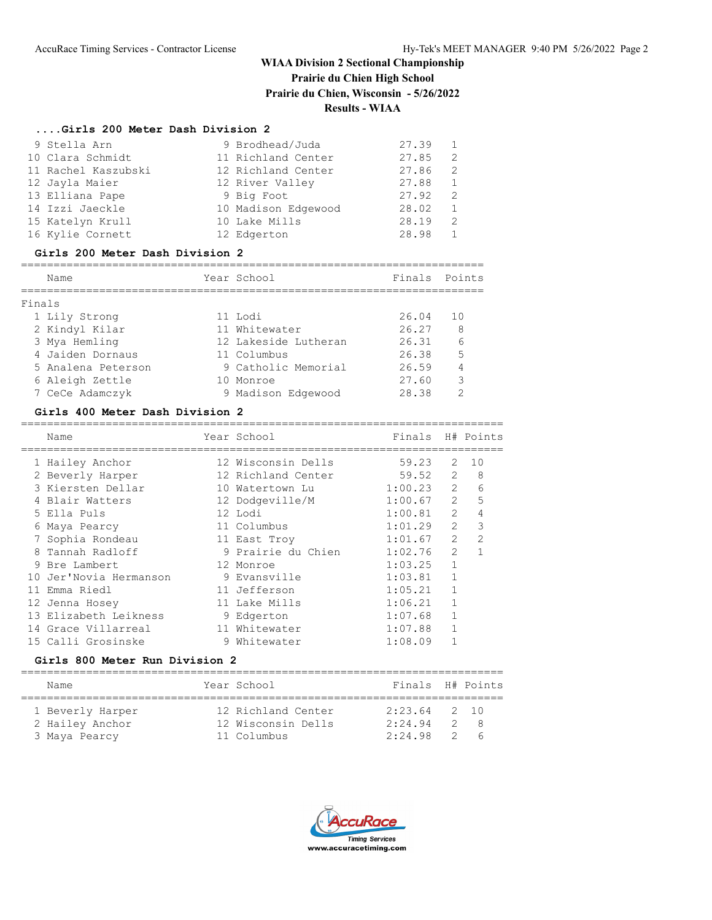# **Prairie du Chien High School**

**Prairie du Chien, Wisconsin - 5/26/2022**

# **Results - WIAA**

### **....Girls 200 Meter Dash Division 2**

| 9 Stella Arn        | 9 Brodhead/Juda     | 27.39 | $\overline{1}$ |
|---------------------|---------------------|-------|----------------|
| 10 Clara Schmidt    | 11 Richland Center  | 27.85 | - 2            |
| 11 Rachel Kaszubski | 12 Richland Center  | 27.86 | -2             |
| 12 Jayla Maier      | 12 River Valley     | 27.88 | $\overline{1}$ |
| 13 Elliana Pape     | 9 Big Foot          | 27.92 | 2              |
| 14 Izzi Jaeckle     | 10 Madison Edgewood | 28.02 | -1             |
| 15 Katelyn Krull    | 10 Lake Mills       | 28.19 | 2              |
| 16 Kylie Cornett    | 12 Edgerton         | 28.98 |                |

#### **Girls 200 Meter Dash Division 2**

=======================================================================

|        | Name               | Year School          | Finals Points |               |
|--------|--------------------|----------------------|---------------|---------------|
|        |                    |                      |               |               |
| Finals |                    |                      |               |               |
|        | 1 Lily Strong      | 11 Lodi              | 26.04         | 10            |
|        | 2 Kindyl Kilar     | 11 Whitewater        | 26.27         | 8             |
|        | 3 Mya Hemling      | 12 Lakeside Lutheran | 26.31         | 6             |
|        | 4 Jaiden Dornaus   | 11 Columbus          | 26.38         | 5             |
|        | 5 Analena Peterson | 9 Catholic Memorial  | 26.59         | 4             |
|        | 6 Aleigh Zettle    | 10 Monroe            | 27.60         | 3             |
|        | 7 CeCe Adamczyk    | 9 Madison Edgewood   | 28.38         | $\mathcal{D}$ |

#### **Girls 400 Meter Dash Division 2**

| Name                   | Year School        | Finals  |                | H# Points      |
|------------------------|--------------------|---------|----------------|----------------|
| 1 Hailey Anchor        | 12 Wisconsin Dells | 59.23   | 2              | 10             |
| 2 Beverly Harper       | 12 Richland Center | 59.52   | $\mathfrak{L}$ | 8              |
| 3 Kiersten Dellar      | 10 Watertown Lu    | 1:00.23 | $\overline{2}$ | 6              |
| 4 Blair Watters        | 12 Dodgeville/M    | 1:00.67 | $\overline{2}$ | 5              |
| 5 Ella Puls            | 12 Lodi            | 1:00.81 | $\mathcal{L}$  | 4              |
| 6 Maya Pearcy          | 11 Columbus        | 1:01.29 | $\mathcal{L}$  | $\mathcal{E}$  |
| 7 Sophia Rondeau       | 11 East Troy       | 1:01.67 | $\mathcal{L}$  | $\mathfrak{D}$ |
| 8 Tannah Radloff       | 9 Prairie du Chien | 1:02.76 | $\mathcal{L}$  |                |
| 9 Bre Lambert          | 12 Monroe          | 1:03.25 | 1              |                |
| 10 Jer'Novia Hermanson | 9 Evansville       | 1:03.81 |                |                |
| 11 Emma Riedl          | 11 Jefferson       | 1:05.21 |                |                |
| 12 Jenna Hosey         | 11 Lake Mills      | 1:06.21 |                |                |
| 13 Elizabeth Leikness  | 9 Edgerton         | 1:07.68 |                |                |
| 14 Grace Villarreal    | 11 Whitewater      | 1:07.88 |                |                |
| 15 Calli Grosinske     | 9 Whitewater       | 1:08.09 |                |                |
|                        |                    |         |                |                |

# **Girls 800 Meter Run Division 2**

| Name             | Year School        | Finals H# Points |               |                 |
|------------------|--------------------|------------------|---------------|-----------------|
| 1 Beverly Harper | 12 Richland Center | $2:23.64$ 2 10   |               |                 |
| 2 Hailey Anchor  | 12 Wisconsin Dells | 2:24.94          | $\mathcal{D}$ | - 8             |
| 3 Maya Pearcy    | 11 Columbus        | 2:24.98          |               | $2\overline{6}$ |

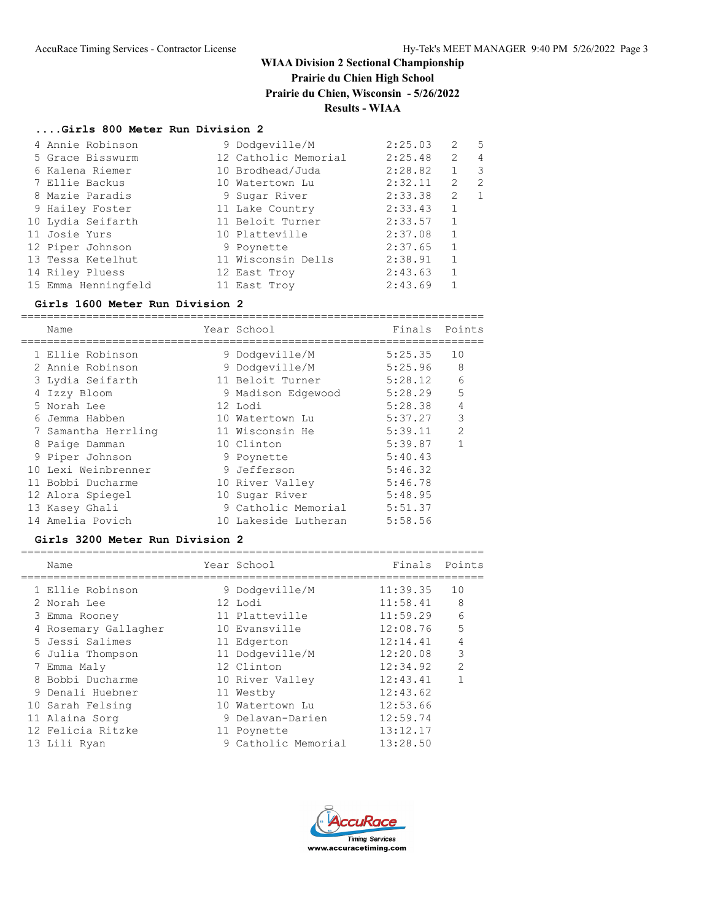# **Prairie du Chien High School**

**Prairie du Chien, Wisconsin - 5/26/2022**

## **Results - WIAA**

## **....Girls 800 Meter Run Division 2**

| 4 Annie Robinson    | 9 Dodgeville/M       | 2:25.03 | 2              | 5 |
|---------------------|----------------------|---------|----------------|---|
| 5 Grace Bisswurm    | 12 Catholic Memorial | 2:25.48 | $\overline{2}$ | 4 |
| 6 Kalena Riemer     | 10 Brodhead/Juda     | 2:28.82 |                | 3 |
| 7 Ellie Backus      | 10 Watertown Lu      | 2:32.11 | 2              | 2 |
| 8 Mazie Paradis     | 9 Sugar River        | 2:33.38 | 2              |   |
| 9 Hailey Foster     | 11 Lake Country      | 2:33.43 | $\mathbf{1}$   |   |
| 10 Lydia Seifarth   | 11 Beloit Turner     | 2:33.57 | $\mathbf{1}$   |   |
| 11 Josie Yurs       | 10 Platteville       | 2:37.08 | $\mathbf{1}$   |   |
| 12 Piper Johnson    | 9 Poynette           | 2:37.65 | $\mathbf{1}$   |   |
| 13 Tessa Ketelhut   | 11 Wisconsin Dells   | 2:38.91 | $\mathbf{1}$   |   |
| 14 Riley Pluess     | 12 East Troy         | 2:43.63 |                |   |
| 15 Emma Henningfeld | 11 East Troy         | 2:43.69 |                |   |

## **Girls 1600 Meter Run Division 2**

| Name                | Year School          | Finals  | Points         |
|---------------------|----------------------|---------|----------------|
| 1 Ellie Robinson    | 9 Dodgeville/M       | 5:25.35 | 10             |
| 2 Annie Robinson    | 9 Dodgeville/M       | 5:25.96 | 8              |
| 3 Lydia Seifarth    | 11 Beloit Turner     | 5:28.12 | 6              |
| 4 Izzy Bloom        | 9 Madison Edgewood   | 5:28.29 | 5              |
| 5 Norah Lee         | 12 Lodi              | 5:28.38 | $\overline{4}$ |
| 6 Jemma Habben      | 10 Watertown Lu      | 5:37.27 | 3              |
| 7 Samantha Herrling | 11 Wisconsin He      | 5:39.11 | $\mathcal{P}$  |
| 8 Paige Damman      | 10 Clinton           | 5:39.87 |                |
| 9 Piper Johnson     | 9 Poynette           | 5:40.43 |                |
| 10 Lexi Weinbrenner | 9 Jefferson          | 5:46.32 |                |
| 11 Bobbi Ducharme   | 10 River Valley      | 5:46.78 |                |
| 12 Alora Spiegel    | 10 Sugar River       | 5:48.95 |                |
| 13 Kasey Ghali      | 9 Catholic Memorial  | 5:51.37 |                |
| 14 Amelia Povich    | 10 Lakeside Lutheran | 5:58.56 |                |
|                     |                      |         |                |

### **Girls 3200 Meter Run Division 2**

| Name                 | Year School         | Finals Points |                |
|----------------------|---------------------|---------------|----------------|
| 1 Ellie Robinson     | 9 Dodgeville/M      | 11:39.35      | 10             |
| 2 Norah Lee          | 12 Lodi             | 11:58.41      | 8              |
| 3 Emma Rooney        | 11 Platteville      | 11:59.29      | 6              |
| 4 Rosemary Gallagher | 10 Evansville       | 12:08.76      | 5              |
| 5 Jessi Salimes      | 11 Edgerton         | 12:14.41      | $\overline{4}$ |
| 6 Julia Thompson     | 11 Dodgeville/M     | 12:20.08      | 3              |
| 7 Emma Maly          | 12 Clinton          | 12:34.92      | $\overline{2}$ |
| 8 Bobbi Ducharme     | 10 River Valley     | 12:43.41      | 1              |
| 9 Denali Huebner     | 11 Westby           | 12:43.62      |                |
| 10 Sarah Felsing     | 10 Watertown Lu     | 12:53.66      |                |
| 11 Alaina Sorg       | 9 Delavan-Darien    | 12:59.74      |                |
| 12 Felicia Ritzke    | 11 Poynette         | 13:12.17      |                |
| 13 Lili Ryan         | 9 Catholic Memorial | 13:28.50      |                |

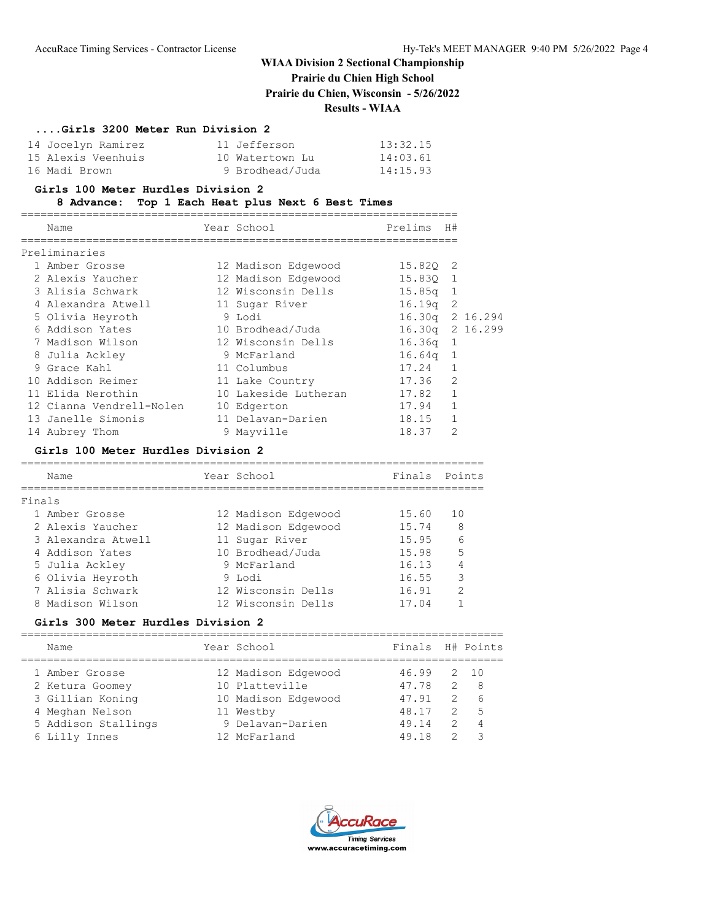# **Prairie du Chien High School**

**Prairie du Chien, Wisconsin - 5/26/2022**

## **Results - WIAA**

## **....Girls 3200 Meter Run Division 2**

| 14 Jocelyn Ramirez | 11 Jefferson    | 13:32.15 |
|--------------------|-----------------|----------|
| 15 Alexis Veenhuis | 10 Watertown Lu | 14:03.61 |
| 16 Madi Brown      | 9 Brodhead/Juda | 14:15.93 |

## **Girls 100 Meter Hurdles Division 2**

## **8 Advance: Top 1 Each Heat plus Next 6 Best Times**

| Name                     | Year School          | Prelims         | H#             |  |
|--------------------------|----------------------|-----------------|----------------|--|
| Preliminaries            |                      |                 |                |  |
| 1 Amber Grosse           | 12 Madison Edgewood  | 15.820 2        |                |  |
| 2 Alexis Yaucher         | 12 Madison Edgewood  | 15.830 1        |                |  |
| 3 Alisia Schwark         | 12 Wisconsin Dells   | $15.85q$ 1      |                |  |
| 4 Alexandra Atwell       | 11 Sugar River       | $16.19q$ 2      |                |  |
| 5 Olivia Heyroth         | 9 Lodi               | 16.30q 2 16.294 |                |  |
| 6 Addison Yates          | 10 Brodhead/Juda     | 16.30q 2 16.299 |                |  |
| 7 Madison Wilson         | 12 Wisconsin Dells   | $16.36q$ 1      |                |  |
| 8 Julia Ackley           | 9 McFarland          | $16.64q$ 1      |                |  |
| 9 Grace Kahl             | 11 Columbus          | 17.24           | $\mathbf{1}$   |  |
| 10 Addison Reimer        | 11 Lake Country      | 17.36           | 2              |  |
| 11 Elida Nerothin        | 10 Lakeside Lutheran | 17.82           | $\mathbf{1}$   |  |
| 12 Cianna Vendrell-Nolen | 10 Edgerton          | 17.94           | $\mathbf{1}$   |  |
| 13 Janelle Simonis       | 11 Delavan-Darien    | 18.15           | 1              |  |
| 14 Aubrey Thom           | 9 Mayville           | 18.37           | $\mathfrak{D}$ |  |

#### **Girls 100 Meter Hurdles Division 2**

| Name               |  | Year School         | Finals Points |               |  |  |  |  |  |
|--------------------|--|---------------------|---------------|---------------|--|--|--|--|--|
| Finals             |  |                     |               |               |  |  |  |  |  |
| 1 Amber Grosse     |  | 12 Madison Edgewood | 15.60         | 10            |  |  |  |  |  |
| 2 Alexis Yaucher   |  | 12 Madison Edgewood | 15.74         | - 8           |  |  |  |  |  |
| 3 Alexandra Atwell |  | 11 Sugar River      | 15.95         | $\epsilon$    |  |  |  |  |  |
| 4 Addison Yates    |  | 10 Brodhead/Juda    | 15.98         | 5             |  |  |  |  |  |
| 5 Julia Ackley     |  | 9 McFarland         | 16.13         | 4             |  |  |  |  |  |
| 6 Olivia Heyroth   |  | 9 Lodi              | 16.55         | 3             |  |  |  |  |  |
| 7 Alisia Schwark   |  | 12 Wisconsin Dells  | 16.91         | $\mathcal{L}$ |  |  |  |  |  |
| 8 Madison Wilson   |  | 12 Wisconsin Dells  | 17.04         |               |  |  |  |  |  |
|                    |  |                     |               |               |  |  |  |  |  |

### **Girls 300 Meter Hurdles Division 2**

| Name                | Year School         | Finals H# Points |               |       |
|---------------------|---------------------|------------------|---------------|-------|
| 1 Amber Grosse      | 12 Madison Edgewood | 46.99            |               | 2, 10 |
| 2 Ketura Goomey     | 10 Platteville      | 47.78            | $\mathcal{L}$ | - 8   |
| 3 Gillian Koning    | 10 Madison Edgewood | 47.91            | $\mathcal{P}$ | 6     |
| 4 Meghan Nelson     | 11 Westby           | 48.17            | 2             | 5     |
| 5 Addison Stallings | 9 Delavan-Darien    | 49.14            | $\mathcal{P}$ | 4     |
| 6 Lilly Innes       | 12 McFarland        | 49.18            | 2             |       |
|                     |                     |                  |               |       |

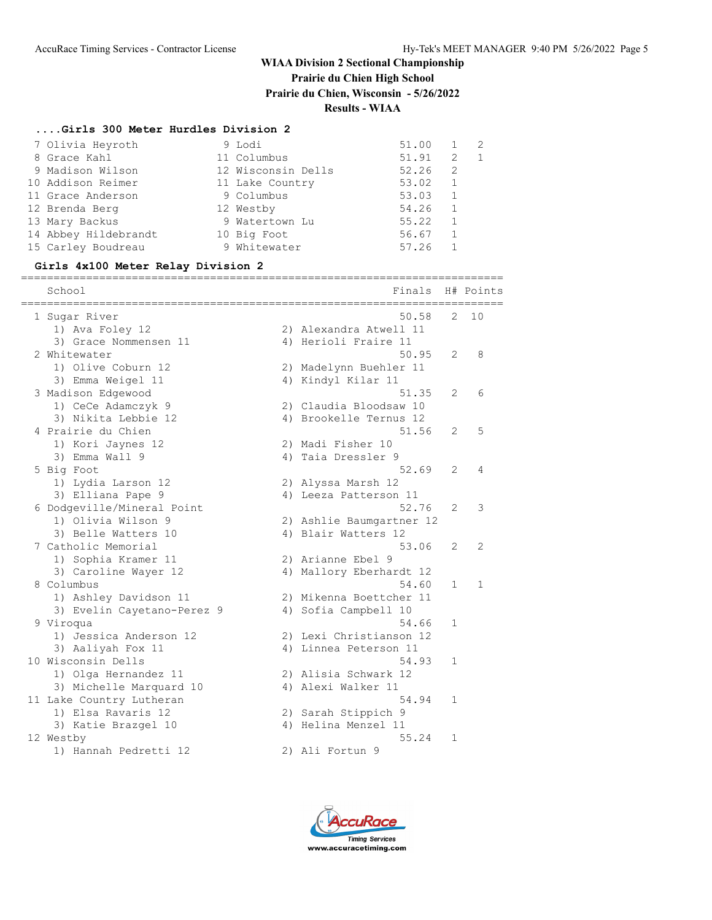# **Prairie du Chien High School**

**Prairie du Chien, Wisconsin - 5/26/2022**

## **Results - WIAA**

# **....Girls 300 Meter Hurdles Division 2**

| 7 Olivia Heyroth     | 9 Lodi             | 51.00 | $\mathbf{1}$ |  |
|----------------------|--------------------|-------|--------------|--|
| 8 Grace Kahl         | 11 Columbus        | 51.91 | 2            |  |
| 9 Madison Wilson     | 12 Wisconsin Dells | 52.26 | 2            |  |
| 10 Addison Reimer    | 11 Lake Country    | 53.02 | $\mathbf{1}$ |  |
| 11 Grace Anderson    | 9 Columbus         | 53.03 | 1            |  |
| 12 Brenda Berg       | 12 Westby          | 54.26 |              |  |
| 13 Mary Backus       | 9 Watertown Lu     | 55.22 |              |  |
| 14 Abbey Hildebrandt | 10 Big Foot        | 56.67 |              |  |
| 15 Carley Boudreau   | 9 Whitewater       | 57.26 |              |  |

#### **Girls 4x100 Meter Relay Division 2**

==========================================================================

| School<br>============     | Finals                   |                | H# Points    |
|----------------------------|--------------------------|----------------|--------------|
| 1 Sugar River              | 50.58                    | 2              | 10           |
| 1) Ava Foley 12            | 2) Alexandra Atwell 11   |                |              |
| 3) Grace Nommensen 11      | 4) Herioli Fraire 11     |                |              |
| 2 Whitewater               | 50.95                    | $\overline{2}$ | 8            |
| 1) Olive Coburn 12         | 2) Madelynn Buehler 11   |                |              |
| 3) Emma Weigel 11          | 4) Kindyl Kilar 11       |                |              |
| 3 Madison Edgewood         | 51.35                    | $\overline{2}$ | 6            |
| 1) CeCe Adamczyk 9         | 2) Claudia Bloodsaw 10   |                |              |
| 3) Nikita Lebbie 12        | 4) Brookelle Ternus 12   |                |              |
| 4 Prairie du Chien         | 51.56                    | 2              | 5            |
| 1) Kori Jaynes 12          | 2) Madi Fisher 10        |                |              |
| 3) Emma Wall 9             | 4) Taia Dressler 9       |                |              |
| 5 Big Foot                 | 52.69                    | 2              | 4            |
| 1) Lydia Larson 12         | 2) Alyssa Marsh 12       |                |              |
| 3) Elliana Pape 9          | 4) Leeza Patterson 11    |                |              |
| 6 Dodgeville/Mineral Point | 52.76                    | 2              | 3            |
| 1) Olivia Wilson 9         | 2) Ashlie Baumgartner 12 |                |              |
| 3) Belle Watters 10        | 4) Blair Watters 12      |                |              |
| 7 Catholic Memorial        | 53.06                    | 2              | 2            |
| 1) Sophia Kramer 11        | 2) Arianne Ebel 9        |                |              |
| 3) Caroline Wayer 12       | 4) Mallory Eberhardt 12  |                |              |
| 8 Columbus                 | 54.60                    | 1              | $\mathbf{1}$ |
| 1) Ashley Davidson 11      | 2) Mikenna Boettcher 11  |                |              |
| 3) Evelin Cayetano-Perez 9 | 4) Sofia Campbell 10     |                |              |
| 9 Viroqua                  | 54.66                    | $\mathbf{1}$   |              |
| 1) Jessica Anderson 12     | 2) Lexi Christianson 12  |                |              |
| 3) Aaliyah Fox 11          | 4) Linnea Peterson 11    |                |              |
| 10 Wisconsin Dells         | 54.93                    | $\mathbf{1}$   |              |
| 1) Olga Hernandez 11       | 2) Alisia Schwark 12     |                |              |
| 3) Michelle Marquard 10    | 4) Alexi Walker 11       |                |              |
| 11 Lake Country Lutheran   | 54.94                    | $\mathbf{1}$   |              |
| 1) Elsa Ravaris 12         | 2) Sarah Stippich 9      |                |              |
| 3) Katie Brazgel 10        | 4) Helina Menzel 11      |                |              |
| 12 Westby                  | 55.24                    | $\mathbf{1}$   |              |
| 1) Hannah Pedretti 12      | 2) Ali Fortun 9          |                |              |

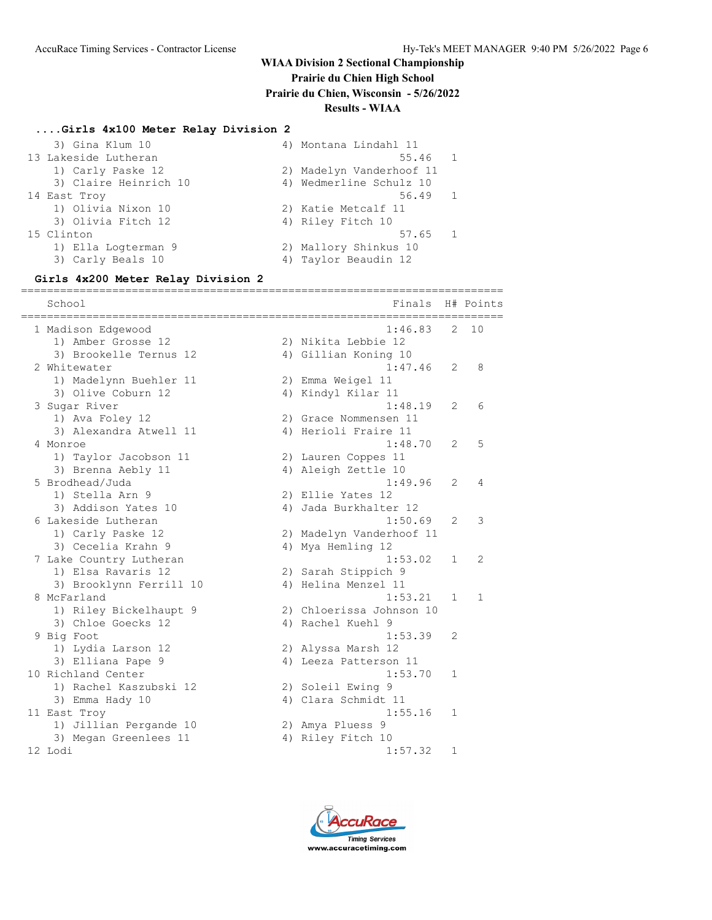**Prairie du Chien High School**

**Prairie du Chien, Wisconsin - 5/26/2022**

# **Results - WIAA**

#### **....Girls 4x100 Meter Relay Division 2**

| 3) Gina Klum 10       | 4) Montana Lindahl 11    |
|-----------------------|--------------------------|
| 13 Lakeside Lutheran  | 55.46 1                  |
| 1) Carly Paske 12     | 2) Madelyn Vanderhoof 11 |
| 3) Claire Heinrich 10 | 4) Wedmerline Schulz 10  |
| 14 East Troy          | 56.49 1                  |
| 1) Olivia Nixon 10    | 2) Katie Metcalf 11      |
| 3) Olivia Fitch 12    | 4) Riley Fitch 10        |
| 15 Clinton            | 57.65 1                  |
| 1) Ella Logterman 9   | 2) Mallory Shinkus 10    |
| 3) Carly Beals 10     | 4) Taylor Beaudin 12     |

### **Girls 4x200 Meter Relay Division 2**

========================================================================== School **Finals** H# Points ========================================================================== 1 Madison Edgewood 1:46.83 2 10 1) Amber Grosse 12 2) Nikita Lebbie 12 3) Brookelle Ternus 12 (4) Gillian Koning 10 2 Whitewater 1:47.46 2 8 1) Madelynn Buehler 11 2) Emma Weigel 11 3) Olive Coburn 12 4) Kindyl Kilar 11 3 Sugar River 1:48.19 2 6 1) Ava Foley 12 2) Grace Nommensen 11 3) Alexandra Atwell 11 (4) Herioli Fraire 11 4 Monroe 1:48.70 2 5 1) Taylor Jacobson 11 2) Lauren Coppes 11 3) Brenna Aebly 11 (4) Aleigh Zettle 10 5 Brodhead/Juda 1:49.96 2 4 1) Stella Arn 9 2) Ellie Yates 12 3) Addison Yates 10 4) Jada Burkhalter 12 6 Lakeside Lutheran 1:50.69 2 3 1) Carly Paske 12 2) Madelyn Vanderhoof 11 3) Cecelia Krahn 9 4) Mya Hemling 12 7 Lake Country Lutheran 1:53.02 1 2 1) Elsa Ravaris 12 2) Sarah Stippich 9 3) Brooklynn Ferrill 10 4) Helina Menzel 11 8 McFarland 1:53.21 1 1 1) Riley Bickelhaupt 9 2) Chloerissa Johnson 10 3) Chloe Goecks 12 4) Rachel Kuehl 9 9 Big Foot 1:53.39 2 1) Lydia Larson 12 2) Alyssa Marsh 12 3) Elliana Pape 9 4) Leeza Patterson 11 10 Richland Center 1:53.70 1 1) Rachel Kaszubski 12 2) Soleil Ewing 9 3) Emma Hady 10 4) Clara Schmidt 11 11 East Troy 1:55.16 1 1) Jillian Pergande 10 2) Amya Pluess 9 3) Megan Greenlees 11 4) Riley Fitch 10 12 Lodi 1:57.32 1

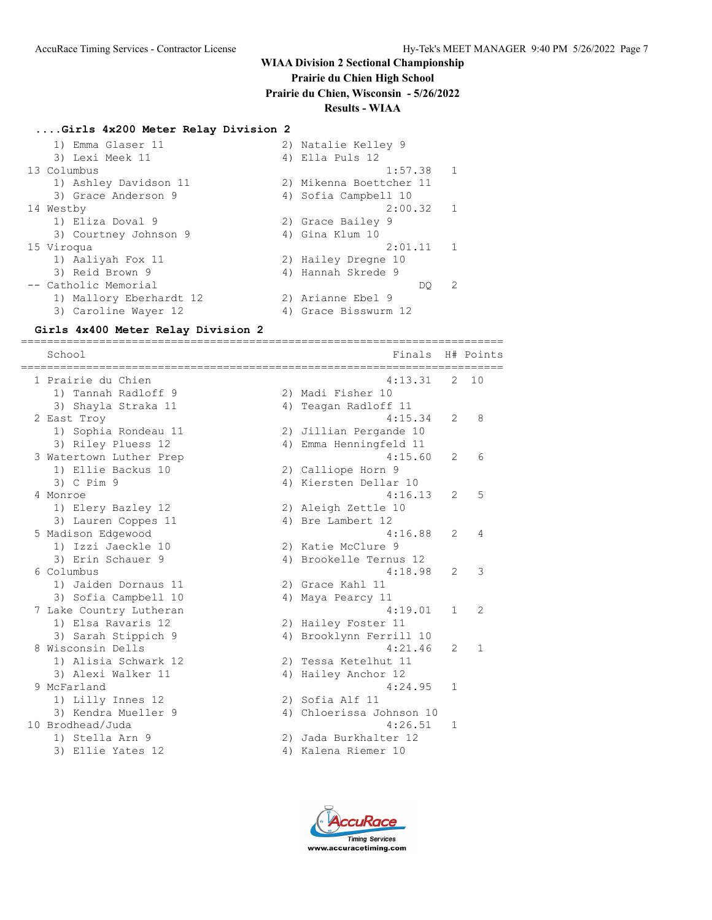## **Prairie du Chien High School**

**Prairie du Chien, Wisconsin - 5/26/2022**

#### **Results - WIAA**

#### **....Girls 4x200 Meter Relay Division 2**

|             | 1) Emma Glaser 11       | 2) Natalie Kelley 9     |              |
|-------------|-------------------------|-------------------------|--------------|
|             | 3) Lexi Meek 11         | 4) Ella Puls 12         |              |
| 13 Columbus |                         | 1:57.38                 | $\mathbf{1}$ |
|             | 1) Ashley Davidson 11   | 2) Mikenna Boettcher 11 |              |
|             | 3) Grace Anderson 9     | 4) Sofia Campbell 10    |              |
| 14 Westby   |                         | 2:00.32 1               |              |
|             | 1) Eliza Doval 9        | 2) Grace Bailey 9       |              |
|             | 3) Courtney Johnson 9   | 4) Gina Klum 10         |              |
| 15 Viroqua  |                         | 2:01.11                 | $\mathbf{1}$ |
|             | 1) Aaliyah Fox 11       | 2) Hailey Dregne 10     |              |
|             | 3) Reid Brown 9         | 4) Hannah Skrede 9      |              |
|             | -- Catholic Memorial    | DO.                     | 2            |
|             | 1) Mallory Eberhardt 12 | 2) Arianne Ebel 9       |              |
|             | 3) Caroline Wayer 12    | 4) Grace Bisswurm 12    |              |

==========================================================================

#### **Girls 4x400 Meter Relay Division 2**

School **Finals** H# Points ========================================================================== 1 Prairie du Chien 4:13.31 2 10 1) Tannah Radloff 9 2) Madi Fisher 10 3) Shayla Straka 11 4) Teagan Radloff 11 2 East Troy 4:15.34 2 8 1) Sophia Rondeau 11 2) Jillian Pergande 10 3) Riley Pluess 12 4) Emma Henningfeld 11 3 Watertown Luther Prep 1992 12:00 12:15.60 2 6 1) Ellie Backus 10 2) Calliope Horn 9 3) C Pim 9 20 4) Kiersten Dellar 10 4 Monroe 4:16.13 2 5 1) Elery Bazley 12 2) Aleigh Zettle 10 3) Lauren Coppes 11 (4) Bre Lambert 12 5 Madison Edgewood 4:16.88 2 4 1) Izzi Jaeckle 10 2) Katie McClure 9 3) Erin Schauer 9 4) Brookelle Ternus 12 6 Columbus 4:18.98 2 3 1) Jaiden Dornaus 11 12) Grace Kahl 11 3) Sofia Campbell 10 4) Maya Pearcy 11 7 Lake Country Lutheran 4:19.01 1 2 1) Elsa Ravaris 12 2) Hailey Foster 11 3) Sarah Stippich 9 4) Brooklynn Ferrill 10 8 Wisconsin Dells 4:21.46 2 1 1) Alisia Schwark 12 2) Tessa Ketelhut 11 3) Alexi Walker 11 4) Hailey Anchor 12 9 McFarland 1:24.95 1 1) Lilly Innes 12 2) Sofia Alf 11 3) Kendra Mueller 9 4) Chloerissa Johnson 10 10 Brodhead/Juda 4:26.51 1 1) Stella Arn 9 2) Jada Burkhalter 12 3) Ellie Yates 12 (4) Kalena Riemer 10

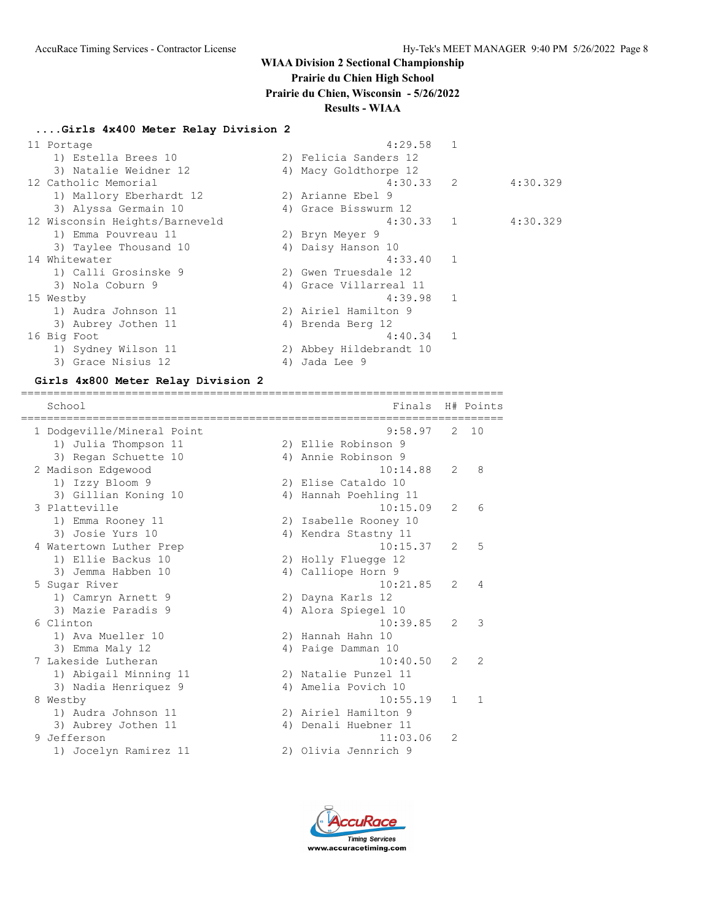## **Prairie du Chien High School**

**Prairie du Chien, Wisconsin - 5/26/2022**

### **Results - WIAA**

#### **....Girls 4x400 Meter Relay Division 2**

| 11 Portage                     |    | 4:29.58                 |          |
|--------------------------------|----|-------------------------|----------|
| 1) Estella Brees 10            |    | 2) Felicia Sanders 12   |          |
| 3) Natalie Weidner 12          |    | 4) Macy Goldthorpe 12   |          |
| 12 Catholic Memorial           |    | $4:30.33$ 2             | 4:30.329 |
| 1) Mallory Eberhardt 12        |    | 2) Arianne Ebel 9       |          |
| 3) Alyssa Germain 10           |    | 4) Grace Bisswurm 12    |          |
| 12 Wisconsin Heights/Barneveld |    | 4:30.33 1               | 4:30.329 |
| 1) Emma Pouvreau 11            |    | 2) Bryn Meyer 9         |          |
| 3) Taylee Thousand 10          |    | 4) Daisy Hanson 10      |          |
| 14 Whitewater                  |    | 4:33.40 1               |          |
| 1) Calli Grosinske 9           |    | 2) Gwen Truesdale 12    |          |
| 3) Nola Coburn 9               |    | 4) Grace Villarreal 11  |          |
| 15 Westby                      |    | $4:39.98$ 1             |          |
| 1) Audra Johnson 11            |    | 2) Airiel Hamilton 9    |          |
| 3) Aubrey Jothen 11            |    | 4) Brenda Berg 12       |          |
| 16 Big Foot                    |    | $4:40.34$ 1             |          |
| 1) Sydney Wilson 11            |    | 2) Abbey Hildebrandt 10 |          |
| 3) Grace Nisius 12             | 4) | Jada Lee 9              |          |

#### **Girls 4x800 Meter Relay Division 2**

========================================================================== School **Finals** H# Points ========================================================================== 1 Dodgeville/Mineral Point 9:58.97 2 10 1) Julia Thompson 11 2) Ellie Robinson 9 3) Regan Schuette 10 (4) Annie Robinson 9 2 Madison Edgewood 10:14.88 2 8 1) Izzy Bloom 9 2) Elise Cataldo 10 1) Izzy Bloom 9 (2) Elise Cataldo 10<br>3) Gillian Koning 10 (4) Hannah Poehling 11 3 Platteville 10:15.09 2 6 1) Emma Rooney 11 2) Isabelle Rooney 10 3) Josie Yurs 10 10 10 4) Kendra Stastny 11 4 Watertown Luther Prep 10:15.37 2 5 1) Ellie Backus 10 2) Holly Fluegge 12 3) Jemma Habben 10 4) Calliope Horn 9 5 Sugar River 10:21.85 2 4 1) Camryn Arnett 9 2) Dayna Karls 12 3) Mazie Paradis 9 12 12 12 13 13 14 13 14 14 15 16 16 6 Clinton 10:39.85 2 3 1) Ava Mueller 10 2) Hannah Hahn 10 3) Emma Maly 12 (4) Paige Damman 10 7 Lakeside Lutheran 10:40.50 2 2 1) Abigail Minning 11 2) Natalie Punzel 11 3) Nadia Henriquez 9 (4) Amelia Povich 10 8 Westby 10:55.19 1 1 1) Audra Johnson 11 2) Airiel Hamilton 9 3) Aubrey Jothen 11 (4) Denali Huebner 11 9 Jefferson 11:03.06 2 1) Jocelyn Ramirez 11 2) Olivia Jennrich 9

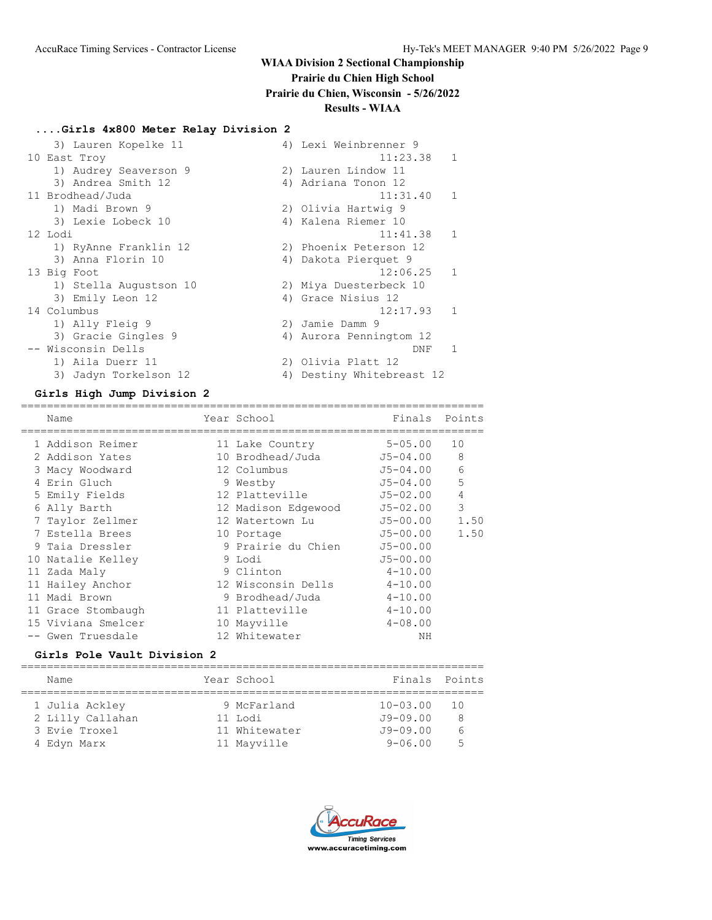# **WIAA Division 2 Sectional Championship Prairie du Chien High School**

**Prairie du Chien, Wisconsin - 5/26/2022**

**Results - WIAA**

#### **....Girls 4x800 Meter Relay Division 2**

| 3) Lauren Kopelke 11   | 4) Lexi Weinbrenner 9      |
|------------------------|----------------------------|
| 10 East Troy           | 11:23.38<br>$\mathbf{1}$   |
| 1) Audrey Seaverson 9  | 2) Lauren Lindow 11        |
| 3) Andrea Smith 12     | 4) Adriana Tonon 12        |
| 11 Brodhead/Juda       | 11:31.40<br>$\mathbf{1}$   |
| 1) Madi Brown 9        | 2) Olivia Hartwig 9        |
| 3) Lexie Lobeck 10     | 4) Kalena Riemer 10        |
| 12 Lodi                | 11:41.38<br>$\mathbf{1}$   |
| 1) RyAnne Franklin 12  | 2) Phoenix Peterson 12     |
| 3) Anna Florin 10      | 4) Dakota Pierquet 9       |
| 13 Big Foot            | 12:06.25<br>$\mathbf{1}$   |
| 1) Stella Augustson 10 | 2) Miya Duesterbeck 10     |
| 3) Emily Leon 12       | 4) Grace Nisius 12         |
| 14 Columbus            | 12:17.93<br>$\overline{1}$ |
| 1) Ally Fleig 9        | 2) Jamie Damm 9            |
| 3) Gracie Gingles 9    | 4) Aurora Penningtom 12    |
| -- Wisconsin Dells     | DNF                        |
| 1) Aila Duerr 11       | 2) Olivia Platt 12         |
| 3) Jadyn Torkelson 12  | 4) Destiny Whitebreast 12  |

#### **Girls High Jump Division 2**

======================================================================= Name **The Year School** Finals Points ======================================================================= 1 Addison Reimer 11 Lake Country 5-05.00 10 2 Addison Yates 10 Brodhead/Juda J5-04.00 8 3 Macy Woodward 12 Columbus J5-04.00 6 4 Erin Gluch 9 Westby J5-04.00 5 5 Emily Fields 12 Platteville J5-02.00 4 6 Ally Barth 12 Madison Edgewood J5-02.00 3 7 Taylor Zellmer 12 Watertown Lu J5-00.00 1.50 7 Estella Brees 10 Portage J5-00.00 1.50 9 Taia Dressler 9 Prairie du Chien J5-00.00 10 Natalie Kelley 9 Lodi J5-00.00 11 Zada Maly 9 Clinton 4-10.00 11 Hailey Anchor 12 Wisconsin Dells 4-10.00 11 Madi Brown 9 Brodhead/Juda 4-10.00 11 Grace Stombaugh 11 Platteville 4-10.00 15 Viviana Smelcer 10 Mayville 4-08.00 -- Gwen Truesdale 12 Whitewater NH

#### **Girls Pole Vault Division 2**

| Name |                                                                    | Finals Points                                                         |      |
|------|--------------------------------------------------------------------|-----------------------------------------------------------------------|------|
|      |                                                                    |                                                                       |      |
|      |                                                                    | $10 - 03.00$                                                          | - 10 |
|      |                                                                    | $J9 - 09.00$                                                          | -8   |
|      |                                                                    | $J9 - 09.00$                                                          | h    |
|      |                                                                    | $9 - 06.00$                                                           | 5    |
|      | 1 Julia Ackley<br>2 Lilly Callahan<br>3 Evie Troxel<br>4 Edyn Marx | Year School<br>9 McFarland<br>11 Lodi<br>11 Whitewater<br>11 Mayville |      |

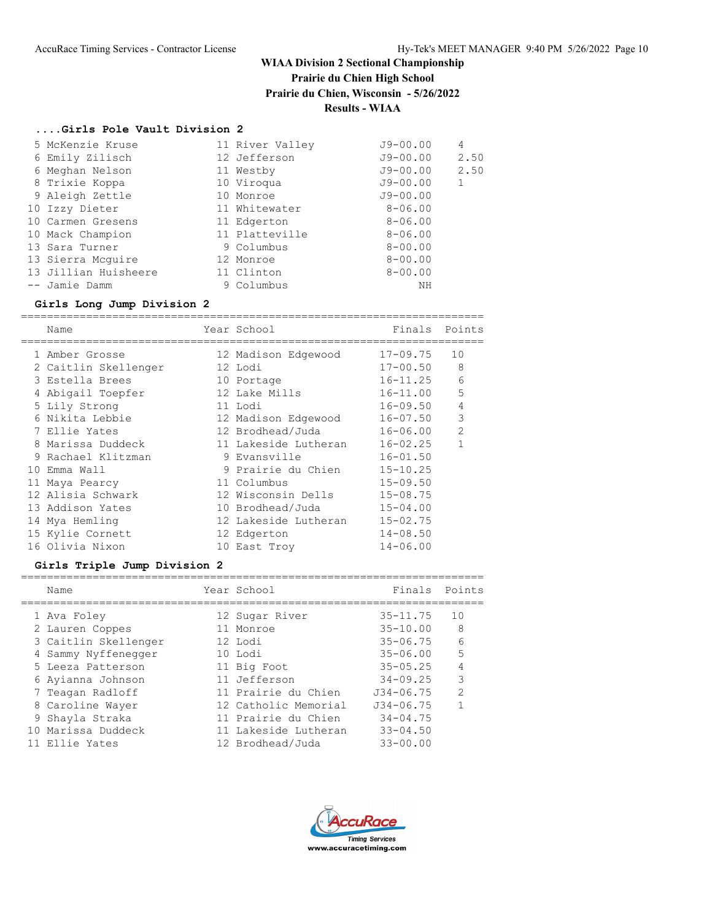**Prairie du Chien High School**

**Prairie du Chien, Wisconsin - 5/26/2022**

# **Results - WIAA**

## **....Girls Pole Vault Division 2**

| 5 McKenzie Kruse     | 11 River Valley | $J9 - 00.00$ | 4    |
|----------------------|-----------------|--------------|------|
| 6 Emily Zilisch      | 12 Jefferson    | J9-00.00     | 2.50 |
| 6 Meghan Nelson      | 11 Westby       | J9-00.00     | 2.50 |
| 8 Trixie Koppa       | 10 Viroqua      | $J9 - 00.00$ | 1    |
| 9 Aleigh Zettle      | 10 Monroe       | $J9 - 00.00$ |      |
| 10 Izzy Dieter       | 11 Whitewater   | $8 - 06.00$  |      |
| 10 Carmen Gresens    | 11 Edgerton     | $8 - 06.00$  |      |
| 10 Mack Champion     | 11 Platteville  | $8 - 06.00$  |      |
| 13 Sara Turner       | 9 Columbus      | $8 - 00.00$  |      |
| 13 Sierra Mcquire    | 12 Monroe       | $8 - 00.00$  |      |
| 13 Jillian Huisheere | 11 Clinton      | $8 - 00.00$  |      |
| -- Jamie Damm        | 9 Columbus      | ΝH           |      |

# **Girls Long Jump Division 2**

|    | Name                 | Year School          | Finals       | Points         |
|----|----------------------|----------------------|--------------|----------------|
|    | 1 Amber Grosse       | 12 Madison Edgewood  | $17 - 09.75$ | 10             |
|    | 2 Caitlin Skellenger | 12 Lodi              | $17 - 00.50$ | 8              |
|    | 3 Estella Brees      | 10 Portage           | $16 - 11.25$ | 6              |
|    | 4 Abigail Toepfer    | 12 Lake Mills        | $16 - 11.00$ | 5              |
|    | 5 Lily Strong        | 11 Lodi              | $16 - 09.50$ | $\overline{4}$ |
|    | 6 Nikita Lebbie      | 12 Madison Edgewood  | $16 - 07.50$ | 3              |
|    | 7 Ellie Yates        | 12 Brodhead/Juda     | $16 - 06.00$ | $\overline{2}$ |
| 8  | Marissa Duddeck      | 11 Lakeside Lutheran | $16 - 02.25$ | 1              |
|    | 9 Rachael Klitzman   | 9 Evansville         | $16 - 01.50$ |                |
| 10 | Emma Wall            | 9 Prairie du Chien   | $15 - 10.25$ |                |
|    | 11 Maya Pearcy       | 11 Columbus          | $15 - 09.50$ |                |
|    | 12 Alisia Schwark    | 12 Wisconsin Dells   | $15 - 08.75$ |                |
|    | 13 Addison Yates     | 10 Brodhead/Juda     | $15 - 04.00$ |                |
|    | 14 Mya Hemling       | 12 Lakeside Lutheran | $15 - 02.75$ |                |
|    | 15 Kylie Cornett     | 12 Edgerton          | $14 - 08.50$ |                |
|    | 16 Olivia Nixon      | 10 East Troy         | $14 - 06.00$ |                |

# **Girls Triple Jump Division 2**

|  | Name                 | Year School          | Finals        | Points     |
|--|----------------------|----------------------|---------------|------------|
|  | 1 Ava Foley          | 12 Sugar River       | $35 - 11.75$  | 10         |
|  | 2 Lauren Coppes      | 11 Monroe            | $35 - 10.00$  | 8          |
|  | 3 Caitlin Skellenger | 12 Lodi              | $35 - 06.75$  | $\sqrt{2}$ |
|  | 4 Sammy Nyffenegger  | 10 Lodi              | $35 - 06.00$  | 5          |
|  | 5 Leeza Patterson    | 11 Big Foot          | $35 - 05.25$  |            |
|  | 6 Ayianna Johnson    | 11 Jefferson         | $34 - 09.25$  | 3          |
|  | 7 Teagan Radloff     | 11 Prairie du Chien  | $J34 - 06.75$ | 2          |
|  | 8 Caroline Wayer     | 12 Catholic Memorial | $J34 - 06.75$ |            |
|  | 9 Shayla Straka      | 11 Prairie du Chien  | $34 - 04.75$  |            |
|  | 10 Marissa Duddeck   | 11 Lakeside Lutheran | $33 - 04.50$  |            |
|  | 11 Ellie Yates       | 12 Brodhead/Juda     | $33 - 00.00$  |            |
|  |                      |                      |               |            |

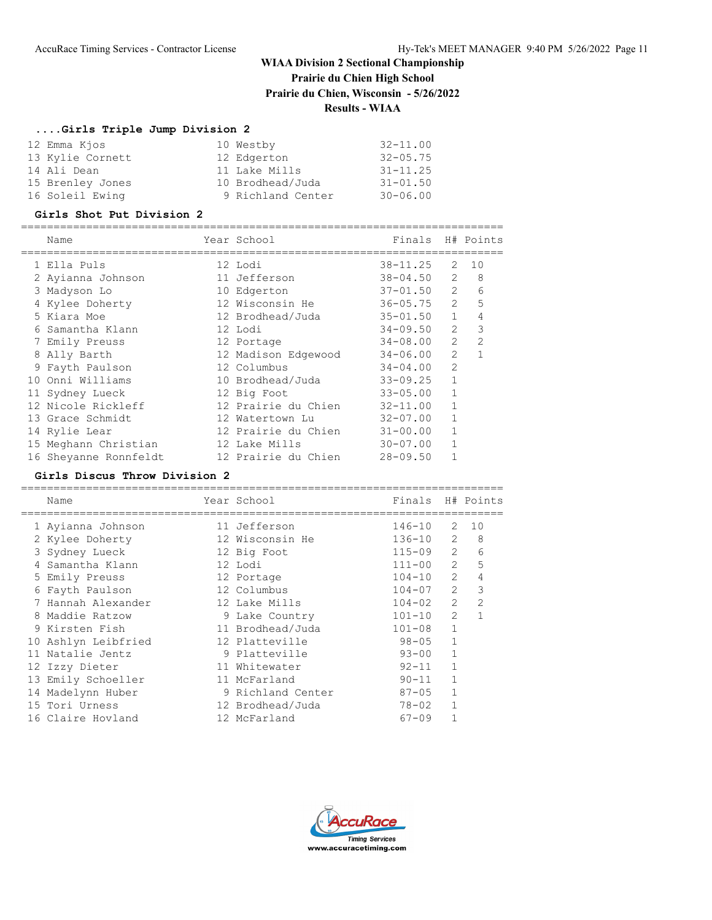**Prairie du Chien High School**

**Prairie du Chien, Wisconsin - 5/26/2022**

## **Results - WIAA**

# **....Girls Triple Jump Division 2**

| 12 Emma Kjos     | 10 Westby         | $32 - 11.00$ |
|------------------|-------------------|--------------|
| 13 Kylie Cornett | 12 Edgerton       | $32 - 05.75$ |
| 14 Ali Dean      | 11 Lake Mills     | $31 - 11.25$ |
| 15 Brenley Jones | 10 Brodhead/Juda  | $31 - 01.50$ |
| 16 Soleil Ewing  | 9 Richland Center | $30 - 06.00$ |

#### **Girls Shot Put Division 2**

|   | Name                  | Year School         | Finals       |                | H# Points      |
|---|-----------------------|---------------------|--------------|----------------|----------------|
|   | 1 Ella Puls           | 12 Lodi             | $38 - 11.25$ | 2              | 10             |
|   | 2 Ayianna Johnson     | 11 Jefferson        | $38 - 04.50$ | $\overline{2}$ | 8              |
|   | 3 Madyson Lo          | 10 Edgerton         | $37 - 01.50$ | $\overline{2}$ | 6              |
|   | 4 Kylee Doherty       | 12 Wisconsin He     | $36 - 05.75$ | $\overline{2}$ | 5              |
|   | 5 Kiara Moe           | 12 Brodhead/Juda    | $35 - 01.50$ | $\mathbf{1}$   | 4              |
|   | Samantha Klann        | 12 Lodi             | $34 - 09.50$ | $\overline{2}$ | 3              |
|   | 7 Emily Preuss        | 12 Portage          | $34 - 08.00$ | $\overline{2}$ | $\overline{2}$ |
| 8 | Ally Barth            | 12 Madison Edgewood | $34 - 06.00$ | $\overline{2}$ |                |
|   | 9 Fayth Paulson       | 12 Columbus         | $34 - 04.00$ | $\overline{2}$ |                |
|   | 10 Onni Williams      | 10 Brodhead/Juda    | $33 - 09.25$ |                |                |
|   | 11 Sydney Lueck       | 12 Big Foot         | $33 - 05.00$ |                |                |
|   | 12 Nicole Rickleff    | 12 Prairie du Chien | $32 - 11.00$ |                |                |
|   | 13 Grace Schmidt      | 12 Watertown Lu     | $32 - 07.00$ |                |                |
|   | 14 Rylie Lear         | 12 Prairie du Chien | $31 - 00.00$ |                |                |
|   | 15 Meghann Christian  | 12 Lake Mills       | $30 - 07.00$ |                |                |
|   | 16 Sheyanne Ronnfeldt | 12 Prairie du Chien | $28 - 09.50$ |                |                |

#### **Girls Discus Throw Division 2**

==========================================================================

| Name                | Year School       | Finals     |                | H# Points      |
|---------------------|-------------------|------------|----------------|----------------|
| 1 Ayianna Johnson   | 11 Jefferson      | 146-10     | 2              | 10             |
| 2 Kylee Doherty     | 12 Wisconsin He   | 136-10     | 2              | 8              |
| 3 Sydney Lueck      | 12 Big Foot       | $115 - 09$ | $\overline{2}$ | 6              |
| 4 Samantha Klann    | 12 Lodi           | $111 - 00$ | $\overline{2}$ | 5              |
| 5 Emily Preuss      | 12 Portage        | $104 - 10$ | 2              | 4              |
| 6 Fayth Paulson     | 12 Columbus       | $104 - 07$ | 2              | 3              |
| 7 Hannah Alexander  | 12 Lake Mills     | $104 - 02$ | $\overline{2}$ | $\overline{2}$ |
| 8 Maddie Ratzow     | 9 Lake Country    | $101 - 10$ | $\overline{2}$ |                |
| 9 Kirsten Fish      | 11 Brodhead/Juda  | $101 - 08$ | $\mathbf{1}$   |                |
| 10 Ashlyn Leibfried | 12 Platteville    | 98-05      | $\mathbf{1}$   |                |
| 11 Natalie Jentz    | 9 Platteville     | $93 - 00$  | $\mathbf{1}$   |                |
| 12 Izzy Dieter      | 11 Whitewater     | $92 - 11$  | 1              |                |
| 13 Emily Schoeller  | 11 McFarland      | $90 - 11$  | 1              |                |
| 14 Madelynn Huber   | 9 Richland Center | $87 - 05$  | 1              |                |
| 15 Tori Urness      | 12 Brodhead/Juda  | $78 - 02$  | $\mathbf{1}$   |                |
| 16 Claire Hovland   | 12 McFarland      | $67 - 09$  |                |                |
|                     |                   |            |                |                |

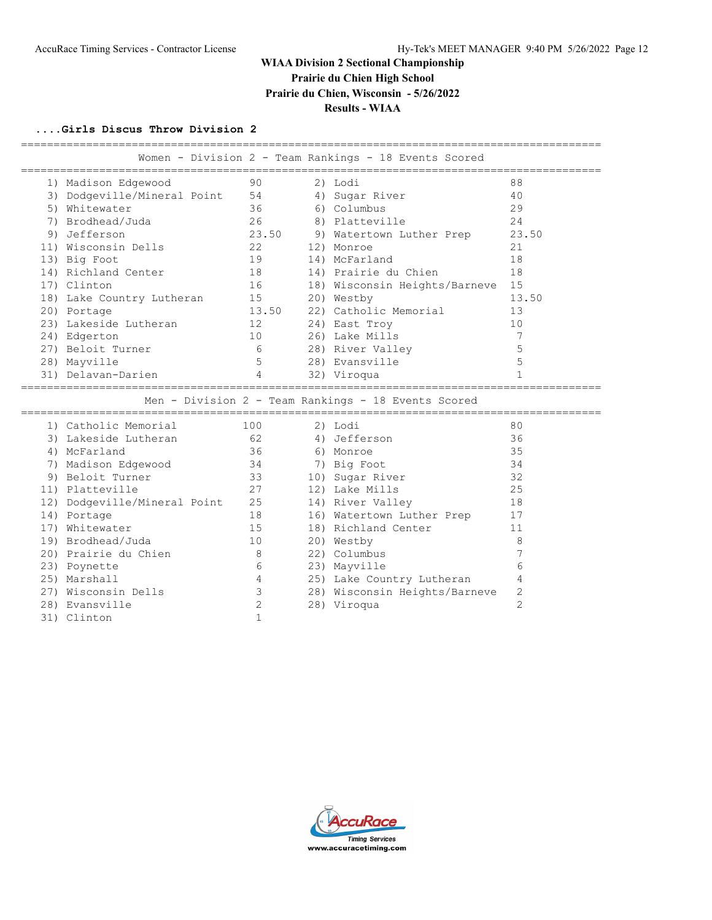# **WIAA Division 2 Sectional Championship Prairie du Chien High School**

**Prairie du Chien, Wisconsin - 5/26/2022**

**Results - WIAA**

## **....Girls Discus Throw Division 2**

|                              |                   | Women - Division 2 - Team Rankings - 18 Events Scored |              |
|------------------------------|-------------------|-------------------------------------------------------|--------------|
| 1) Madison Edgewood          | 90                | 2) Lodi                                               | 88           |
| 3) Dodgeville/Mineral Point  | 54                | 4) Sugar River                                        | 40           |
| 5) Whitewater                | 36                | 6) Columbus                                           | 29           |
| 7) Brodhead/Juda             | 26                | 8) Platteville                                        | 24           |
| 9) Jefferson                 | 23.50             | 9) Watertown Luther Prep                              | 23.50        |
| 11) Wisconsin Dells          | 22                | 12) Monroe                                            | 21           |
| 13) Big Foot                 | 19                | 14) McFarland                                         | 18           |
| 14) Richland Center          | 18                | 14) Prairie du Chien                                  | 18           |
| 17) Clinton                  | 16                | 18) Wisconsin Heights/Barneve                         | 15           |
| 18) Lake Country Lutheran    | 15                | 20) Westby                                            | 13.50        |
| 20) Portage                  | 13.50             | 22) Catholic Memorial                                 | 13           |
| 23) Lakeside Lutheran        | 12                | 24) East Troy                                         | 10           |
| 24) Edgerton                 | 10                | 26) Lake Mills                                        | 7            |
| 27) Beloit Turner            | 6                 | 28) River Valley                                      | 5            |
| 28) Mayville                 | 5                 | 28) Evansville                                        | 5            |
| 31) Delavan-Darien           | $\overline{4}$    | 32) Viroqua                                           | $\mathbf{1}$ |
|                              |                   | Men - Division 2 - Team Rankings - 18 Events Scored   |              |
| 1) Catholic Memorial         | 100               | 2) Lodi                                               |              |
| 3) Lakeside Lutheran         |                   |                                                       | 80           |
|                              | 62                | 4) Jefferson                                          | 36           |
| 4) McFarland                 | 36                | 6) Monroe                                             | 35           |
| 7) Madison Edgewood          | 34                | 7) Big Foot                                           | 34           |
| 9) Beloit Turner             | 33                | 10) Sugar River                                       | 32           |
| 11) Platteville              | 27                | 12) Lake Mills                                        | 25           |
| 12) Dodgeville/Mineral Point | 25                | 14) River Valley                                      | 18           |
| 14) Portage                  | 18                | 16) Watertown Luther Prep                             | 17           |
| 17) Whitewater               | 15                | 18) Richland Center                                   | 11           |
| 19) Brodhead/Juda            | 10                | 20) Westby                                            | 8            |
| 20) Prairie du Chien         | - 8               | 22) Columbus                                          | 7            |
| 23) Poynette                 | 6                 | 23) Mayville                                          | 6            |
| 25) Marshall                 | $\overline{4}$    | 25) Lake Country Lutheran                             | 4            |
| 27) Wisconsin Dells          | 3                 | 28) Wisconsin Heights/Barneve                         | 2            |
| 28) Evansville               | 2<br>$\mathbf{1}$ | 28) Viroqua                                           | 2            |

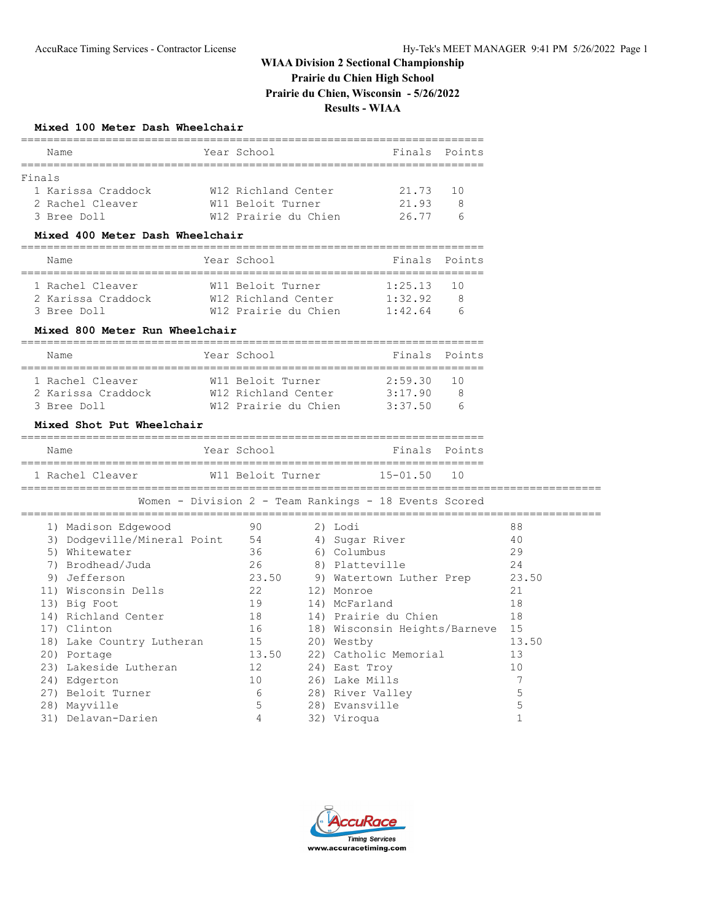# **Prairie du Chien High School**

**Prairie du Chien, Wisconsin - 5/26/2022**

**Results - WIAA**

## **Mixed 100 Meter Dash Wheelchair**

|        | Name               | Year School          | Finals Points |    |
|--------|--------------------|----------------------|---------------|----|
| Finals |                    |                      |               |    |
|        |                    |                      |               |    |
|        | 1 Karissa Craddock | W12 Richland Center  | 21.73         | 10 |
|        | 2 Rachel Cleaver   | W11 Beloit Turner    | 21.93         | 8  |
|        | 3 Bree Doll        | W12 Prairie du Chien | 26.77         |    |

### **Mixed 400 Meter Dash Wheelchair**

| Name               | Year School          | Finals Points |    |
|--------------------|----------------------|---------------|----|
|                    |                      |               |    |
| 1 Rachel Cleaver   | W11 Beloit Turner    | 1:25.13       | 10 |
| 2 Karissa Craddock | W12 Richland Center  | 1:32.92       |    |
| 3 Bree Doll        | W12 Prairie du Chien | 1:42.64       |    |

#### **Mixed 800 Meter Run Wheelchair**

| Name               | Year School          | Finals Points |       |
|--------------------|----------------------|---------------|-------|
|                    |                      |               |       |
| 1 Rachel Cleaver   | W11 Beloit Turner    | 2:59.30       | - 1 N |
| 2 Karissa Craddock | W12 Richland Center  | 3:17.90       |       |
| 3 Bree Doll        | W12 Prairie du Chien | 3:37.50       |       |

### **Mixed Shot Put Wheelchair**

| Name             | Year School       | Finals Points   |
|------------------|-------------------|-----------------|
| 1 Rachel Cleaver | W11 Beloit Turner | $15 - 01.50$ 10 |

=========================================================================================

Women - Division 2 - Team Rankings - 18 Events Scored

|    | 1) Madison Edgewood         | 90             | 2) Lodi                       | 88    |
|----|-----------------------------|----------------|-------------------------------|-------|
|    | 3) Dodgeville/Mineral Point | 54             | 4) Sugar River                | 40    |
| 5) | Whitewater                  | 36             | 6) Columbus                   | 29    |
|    | 7) Brodhead/Juda            | 26             | 8) Platteville                | 24    |
|    | 9) Jefferson                | 23.50          | 9) Watertown Luther Prep      | 23.50 |
|    | 11) Wisconsin Dells         | 22             | 12) Monroe                    | 21    |
|    | 13) Big Foot                | 19             | 14) McFarland                 | 18    |
|    | 14) Richland Center         | 18             | 14) Prairie du Chien          | 18    |
|    | 17) Clinton                 | 16             | 18) Wisconsin Heights/Barneve | 15    |
|    | 18) Lake Country Lutheran   | 15             | 20) Westby                    | 13.50 |
|    | 20) Portage                 | 13.50          | 22) Catholic Memorial         | 13    |
|    | 23) Lakeside Lutheran       | 12             | 24) East Troy                 | 10    |
|    | 24) Edgerton                | 10             | 26) Lake Mills                | 7     |
|    | 27) Beloit Turner           | 6              | 28) River Valley              | 5     |
|    | 28) Mayville                | 5              | 28) Evansville                | 5     |
|    | 31) Delavan-Darien          | $\overline{4}$ | 32) Viroqua                   |       |